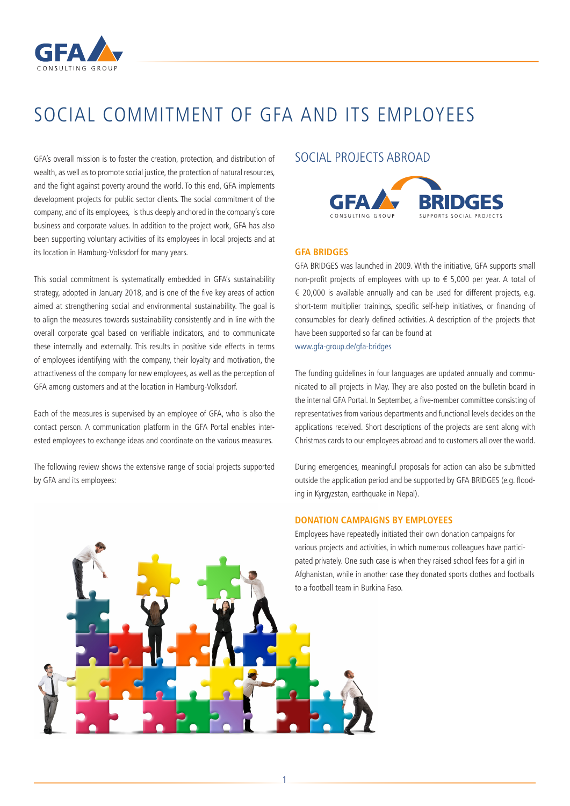

# SOCIAL COMMITMENT OF GFA AND ITS EMPLOYEES

GFA's overall mission is to foster the creation, protection, and distribution of wealth, as well as to promote social justice, the protection of natural resources, and the fight against poverty around the world. To this end, GFA implements development projects for public sector clients. The social commitment of the company, and of its employees, is thus deeply anchored in the company's core business and corporate values. In addition to the project work, GFA has also been supporting voluntary activities of its employees in local projects and at its location in Hamburg-Volksdorf for many years.

This social commitment is systematically embedded in GFA's sustainability strategy, adopted in January 2018, and is one of the five key areas of action aimed at strengthening social and environmental sustainability. The goal is to align the measures towards sustainability consistently and in line with the overall corporate goal based on verifiable indicators, and to communicate these internally and externally. This results in positive side effects in terms of employees identifying with the company, their loyalty and motivation, the attractiveness of the company for new employees, as well as the perception of GFA among customers and at the location in Hamburg-Volksdorf.

Each of the measures is supervised by an employee of GFA, who is also the contact person. A communication platform in the GFA Portal enables interested employees to exchange ideas and coordinate on the various measures.

The following review shows the extensive range of social projects supported by GFA and its employees:

### SOCIAL PROJECTS ABROAD



#### **GFA BRIDGES**

GFA BRIDGES was launched in 2009. With the initiative, GFA supports small non-profit projects of employees with up to € 5,000 per year. A total of  $\epsilon$  20,000 is available annually and can be used for different projects, e.g. short-term multiplier trainings, specific self-help initiatives, or financing of consumables for clearly defined activities. A description of the projects that have been supported so far can be found at www.gfa-group.de/gfa-bridges

The funding guidelines in four languages are updated annually and communicated to all projects in May. They are also posted on the bulletin board in the internal GFA Portal. In September, a five-member committee consisting of representatives from various departments and functional levels decides on the applications received. Short descriptions of the projects are sent along with Christmas cards to our employees abroad and to customers all over the world.

During emergencies, meaningful proposals for action can also be submitted outside the application period and be supported by GFA BRIDGES (e.g. flooding in Kyrgyzstan, earthquake in Nepal).

#### **DONATION CAMPAIGNS BY EMPLOYEES**

Employees have repeatedly initiated their own donation campaigns for various projects and activities, in which numerous colleagues have participated privately. One such case is when they raised school fees for a girl in Afghanistan, while in another case they donated sports clothes and footballs to a football team in Burkina Faso.



1